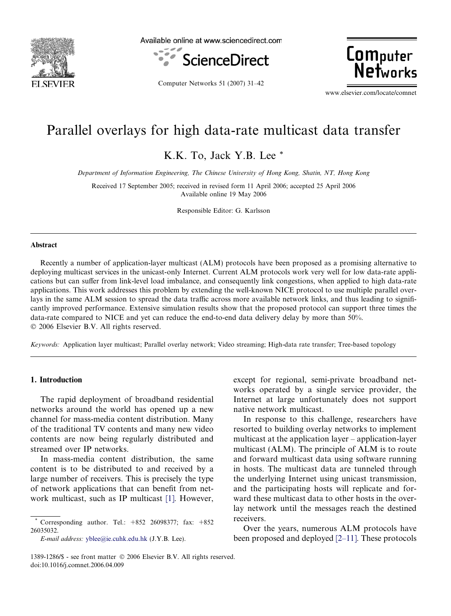

Available online at www.sciencedirect.com



Computer Networks 51 (2007) 31–42

**Computer** Networks

www.elsevier.com/locate/comnet

# Parallel overlays for high data-rate multicast data transfer

K.K. To, Jack Y.B. Lee \*

Department of Information Engineering, The Chinese University of Hong Kong, Shatin, NT, Hong Kong

Received 17 September 2005; received in revised form 11 April 2006; accepted 25 April 2006 Available online 19 May 2006

Responsible Editor: G. Karlsson

#### Abstract

Recently a number of application-layer multicast (ALM) protocols have been proposed as a promising alternative to deploying multicast services in the unicast-only Internet. Current ALM protocols work very well for low data-rate applications but can suffer from link-level load imbalance, and consequently link congestions, when applied to high data-rate applications. This work addresses this problem by extending the well-known NICE protocol to use multiple parallel overlays in the same ALM session to spread the data traffic across more available network links, and thus leading to significantly improved performance. Extensive simulation results show that the proposed protocol can support three times the data-rate compared to NICE and yet can reduce the end-to-end data delivery delay by more than 50%. © 2006 Elsevier B.V. All rights reserved.

Keywords: Application layer multicast; Parallel overlay network; Video streaming; High-data rate transfer; Tree-based topology

#### 1. Introduction

The rapid deployment of broadband residential networks around the world has opened up a new channel for mass-media content distribution. Many of the traditional TV contents and many new video contents are now being regularly distributed and streamed over IP networks.

In mass-media content distribution, the same content is to be distributed to and received by a large number of receivers. This is precisely the type of network applications that can benefit from network multicast, such as IP multicast [\[1\]](#page-11-0). However,

E-mail address: [yblee@ie.cuhk.edu.hk](mailto:yblee@ie.cuhk.edu.hk) (J.Y.B. Lee).

except for regional, semi-private broadband networks operated by a single service provider, the Internet at large unfortunately does not support native network multicast.

In response to this challenge, researchers have resorted to building overlay networks to implement multicast at the application layer – application-layer multicast (ALM). The principle of ALM is to route and forward multicast data using software running in hosts. The multicast data are tunneled through the underlying Internet using unicast transmission, and the participating hosts will replicate and forward these multicast data to other hosts in the overlay network until the messages reach the destined receivers.

Over the years, numerous ALM protocols have been proposed and deployed [\[2–11\].](#page-11-0) These protocols

Corresponding author. Tel.:  $+852$  26098377; fax:  $+852$ 26035032.

<sup>1389-1286/\$ -</sup> see front matter © 2006 Elsevier B.V. All rights reserved. doi:10.1016/j.comnet.2006.04.009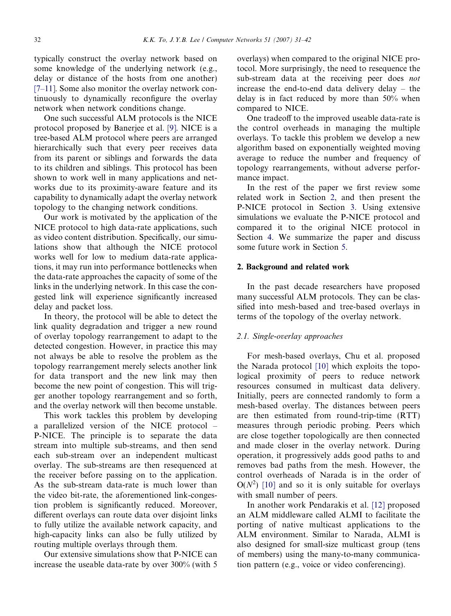typically construct the overlay network based on some knowledge of the underlying network (e.g., delay or distance of the hosts from one another) [\[7–11\].](#page-11-0) Some also monitor the overlay network continuously to dynamically reconfigure the overlay network when network conditions change.

One such successful ALM protocols is the NICE protocol proposed by Banerjee et al. [\[9\]](#page-11-0). NICE is a tree-based ALM protocol where peers are arranged hierarchically such that every peer receives data from its parent or siblings and forwards the data to its children and siblings. This protocol has been shown to work well in many applications and networks due to its proximity-aware feature and its capability to dynamically adapt the overlay network topology to the changing network conditions.

Our work is motivated by the application of the NICE protocol to high data-rate applications, such as video content distribution. Specifically, our simulations show that although the NICE protocol works well for low to medium data-rate applications, it may run into performance bottlenecks when the data-rate approaches the capacity of some of the links in the underlying network. In this case the congested link will experience significantly increased delay and packet loss.

In theory, the protocol will be able to detect the link quality degradation and trigger a new round of overlay topology rearrangement to adapt to the detected congestion. However, in practice this may not always be able to resolve the problem as the topology rearrangement merely selects another link for data transport and the new link may then become the new point of congestion. This will trigger another topology rearrangement and so forth, and the overlay network will then become unstable.

This work tackles this problem by developing a parallelized version of the NICE protocol – P-NICE. The principle is to separate the data stream into multiple sub-streams, and then send each sub-stream over an independent multicast overlay. The sub-streams are then resequenced at the receiver before passing on to the application. As the sub-stream data-rate is much lower than the video bit-rate, the aforementioned link-congestion problem is significantly reduced. Moreover, different overlays can route data over disjoint links to fully utilize the available network capacity, and high-capacity links can also be fully utilized by routing multiple overlays through them.

Our extensive simulations show that P-NICE can increase the useable data-rate by over 300% (with 5 overlays) when compared to the original NICE protocol. More surprisingly, the need to resequence the sub-stream data at the receiving peer does not increase the end-to-end data delivery delay – the delay is in fact reduced by more than 50% when compared to NICE.

One tradeoff to the improved useable data-rate is the control overheads in managing the multiple overlays. To tackle this problem we develop a new algorithm based on exponentially weighted moving average to reduce the number and frequency of topology rearrangements, without adverse performance impact.

In the rest of the paper we first review some related work in Section 2, and then present the P-NICE protocol in Section [3](#page-4-0). Using extensive simulations we evaluate the P-NICE protocol and compared it to the original NICE protocol in Section [4](#page-5-0). We summarize the paper and discuss some future work in Section [5](#page-10-0).

#### 2. Background and related work

In the past decade researchers have proposed many successful ALM protocols. They can be classified into mesh-based and tree-based overlays in terms of the topology of the overlay network.

#### 2.1. Single-overlay approaches

For mesh-based overlays, Chu et al. proposed the Narada protocol [\[10\]](#page-11-0) which exploits the topological proximity of peers to reduce network resources consumed in multicast data delivery. Initially, peers are connected randomly to form a mesh-based overlay. The distances between peers are then estimated from round-trip-time (RTT) measures through periodic probing. Peers which are close together topologically are then connected and made closer in the overlay network. During operation, it progressively adds good paths to and removes bad paths from the mesh. However, the control overheads of Narada is in the order of  $O(N^2)$  [\[10\]](#page-11-0) and so it is only suitable for overlays with small number of peers.

In another work Pendarakis et al. [\[12\]](#page-11-0) proposed an ALM middleware called ALMI to facilitate the porting of native multicast applications to the ALM environment. Similar to Narada, ALMI is also designed for small-size multicast group (tens of members) using the many-to-many communication pattern (e.g., voice or video conferencing).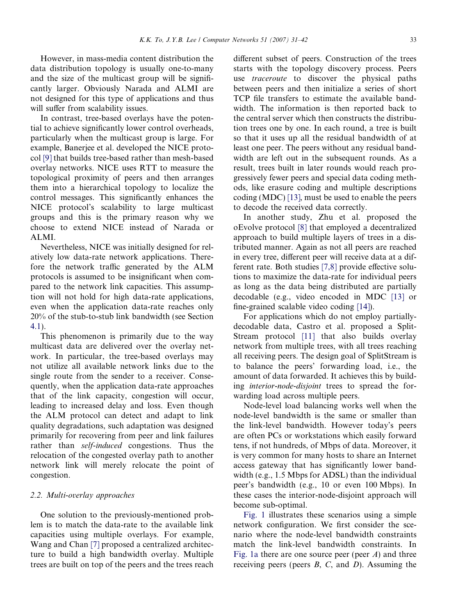However, in mass-media content distribution the data distribution topology is usually one-to-many and the size of the multicast group will be significantly larger. Obviously Narada and ALMI are not designed for this type of applications and thus will suffer from scalability issues.

In contrast, tree-based overlays have the potential to achieve significantly lower control overheads, particularly when the multicast group is large. For example, Banerjee et al. developed the NICE protocol [\[9\]](#page-11-0) that builds tree-based rather than mesh-based overlay networks. NICE uses RTT to measure the topological proximity of peers and then arranges them into a hierarchical topology to localize the control messages. This significantly enhances the NICE protocol's scalability to large multicast groups and this is the primary reason why we choose to extend NICE instead of Narada or ALMI.

Nevertheless, NICE was initially designed for relatively low data-rate network applications. Therefore the network traffic generated by the ALM protocols is assumed to be insignificant when compared to the network link capacities. This assumption will not hold for high data-rate applications, even when the application data-rate reaches only 20% of the stub-to-stub link bandwidth (see Section [4.1\)](#page-6-0).

This phenomenon is primarily due to the way multicast data are delivered over the overlay network. In particular, the tree-based overlays may not utilize all available network links due to the single route from the sender to a receiver. Consequently, when the application data-rate approaches that of the link capacity, congestion will occur, leading to increased delay and loss. Even though the ALM protocol can detect and adapt to link quality degradations, such adaptation was designed primarily for recovering from peer and link failures rather than self-induced congestions. Thus the relocation of the congested overlay path to another network link will merely relocate the point of congestion.

## 2.2. Multi-overlay approaches

One solution to the previously-mentioned problem is to match the data-rate to the available link capacities using multiple overlays. For example, Wang and Chan [\[7\]](#page-11-0) proposed a centralized architecture to build a high bandwidth overlay. Multiple trees are built on top of the peers and the trees reach

different subset of peers. Construction of the trees starts with the topology discovery process. Peers use traceroute to discover the physical paths between peers and then initialize a series of short TCP file transfers to estimate the available bandwidth. The information is then reported back to the central server which then constructs the distribution trees one by one. In each round, a tree is built so that it uses up all the residual bandwidth of at least one peer. The peers without any residual bandwidth are left out in the subsequent rounds. As a result, trees built in later rounds would reach progressively fewer peers and special data coding methods, like erasure coding and multiple descriptions coding (MDC) [\[13\],](#page-11-0) must be used to enable the peers to decode the received data correctly.

In another study, Zhu et al. proposed the oEvolve protocol [\[8\]](#page-11-0) that employed a decentralized approach to build multiple layers of trees in a distributed manner. Again as not all peers are reached in every tree, different peer will receive data at a different rate. Both studies [\[7,8\]](#page-11-0) provide effective solutions to maximize the data-rate for individual peers as long as the data being distributed are partially decodable (e.g., video encoded in MDC [\[13\]](#page-11-0) or fine-grained scalable video coding [\[14\]](#page-11-0)).

For applications which do not employ partiallydecodable data, Castro et al. proposed a Split-Stream protocol [\[11\]](#page-11-0) that also builds overlay network from multiple trees, with all trees reaching all receiving peers. The design goal of SplitStream is to balance the peers' forwarding load, i.e., the amount of data forwarded. It achieves this by building interior-node-disjoint trees to spread the forwarding load across multiple peers.

Node-level load balancing works well when the node-level bandwidth is the same or smaller than the link-level bandwidth. However today's peers are often PCs or workstations which easily forward tens, if not hundreds, of Mbps of data. Moreover, it is very common for many hosts to share an Internet access gateway that has significantly lower bandwidth (e.g., 1.5 Mbps for ADSL) than the individual peer's bandwidth (e.g., 10 or even 100 Mbps). In these cases the interior-node-disjoint approach will become sub-optimal.

[Fig. 1](#page-3-0) illustrates these scenarios using a simple network configuration. We first consider the scenario where the node-level bandwidth constraints match the link-level bandwidth constraints. In [Fig. 1a](#page-3-0) there are one source peer (peer  $A$ ) and three receiving peers (peers  $B, C$ , and  $D$ ). Assuming the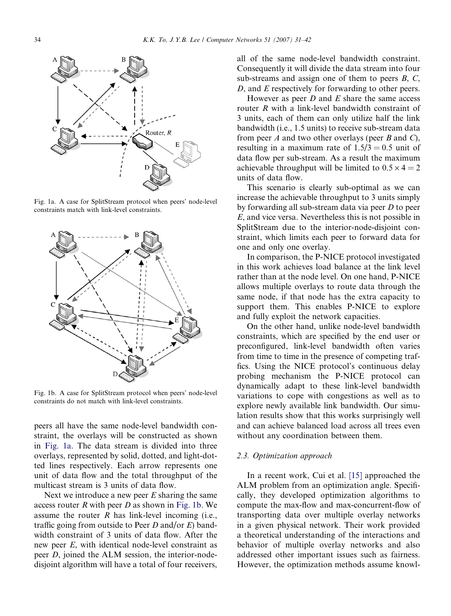<span id="page-3-0"></span>

Fig. 1a. A case for SplitStream protocol when peers' node-level constraints match with link-level constraints.



Fig. 1b. A case for SplitStream protocol when peers' node-level constraints do not match with link-level constraints.

peers all have the same node-level bandwidth constraint, the overlays will be constructed as shown in Fig. 1a. The data stream is divided into three overlays, represented by solid, dotted, and light-dotted lines respectively. Each arrow represents one unit of data flow and the total throughput of the multicast stream is 3 units of data flow.

Next we introduce a new peer  $E$  sharing the same access router  $R$  with peer  $D$  as shown in Fig. 1b. We assume the router  $R$  has link-level incoming (i.e., traffic going from outside to Peer  $D$  and/or  $E$ ) bandwidth constraint of 3 units of data flow. After the new peer E, with identical node-level constraint as peer D, joined the ALM session, the interior-nodedisjoint algorithm will have a total of four receivers, all of the same node-level bandwidth constraint. Consequently it will divide the data stream into four sub-streams and assign one of them to peers  $B, C$ , D, and E respectively for forwarding to other peers.

However as peer  $D$  and  $E$  share the same access router R with a link-level bandwidth constraint of 3 units, each of them can only utilize half the link bandwidth (i.e., 1.5 units) to receive sub-stream data from peer  $A$  and two other overlays (peer  $B$  and  $C$ ), resulting in a maximum rate of  $1.5/3 = 0.5$  unit of data flow per sub-stream. As a result the maximum achievable throughput will be limited to  $0.5 \times 4 = 2$ units of data flow.

This scenario is clearly sub-optimal as we can increase the achievable throughput to 3 units simply by forwarding all sub-stream data via peer  $D$  to peer E, and vice versa. Nevertheless this is not possible in SplitStream due to the interior-node-disjoint constraint, which limits each peer to forward data for one and only one overlay.

In comparison, the P-NICE protocol investigated in this work achieves load balance at the link level rather than at the node level. On one hand, P-NICE allows multiple overlays to route data through the same node, if that node has the extra capacity to support them. This enables P-NICE to explore and fully exploit the network capacities.

On the other hand, unlike node-level bandwidth constraints, which are specified by the end user or preconfigured, link-level bandwidth often varies from time to time in the presence of competing traffics. Using the NICE protocol's continuous delay probing mechanism the P-NICE protocol can dynamically adapt to these link-level bandwidth variations to cope with congestions as well as to explore newly available link bandwidth. Our simulation results show that this works surprisingly well and can achieve balanced load across all trees even without any coordination between them.

#### 2.3. Optimization approach

In a recent work, Cui et al. [\[15\]](#page-11-0) approached the ALM problem from an optimization angle. Specifically, they developed optimization algorithms to compute the max-flow and max-concurrent-flow of transporting data over multiple overlay networks in a given physical network. Their work provided a theoretical understanding of the interactions and behavior of multiple overlay networks and also addressed other important issues such as fairness. However, the optimization methods assume knowl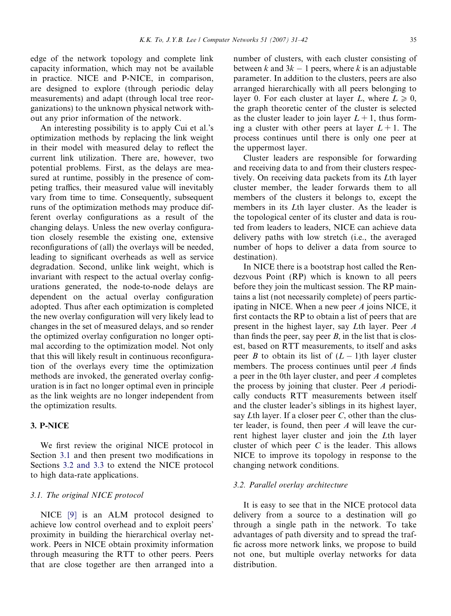<span id="page-4-0"></span>edge of the network topology and complete link capacity information, which may not be available in practice. NICE and P-NICE, in comparison, are designed to explore (through periodic delay measurements) and adapt (through local tree reorganizations) to the unknown physical network without any prior information of the network.

An interesting possibility is to apply Cui et al.'s optimization methods by replacing the link weight in their model with measured delay to reflect the current link utilization. There are, however, two potential problems. First, as the delays are measured at runtime, possibly in the presence of competing traffics, their measured value will inevitably vary from time to time. Consequently, subsequent runs of the optimization methods may produce different overlay configurations as a result of the changing delays. Unless the new overlay configuration closely resemble the existing one, extensive reconfigurations of (all) the overlays will be needed, leading to significant overheads as well as service degradation. Second, unlike link weight, which is invariant with respect to the actual overlay configurations generated, the node-to-node delays are dependent on the actual overlay configuration adopted. Thus after each optimization is completed the new overlay configuration will very likely lead to changes in the set of measured delays, and so render the optimized overlay configuration no longer optimal according to the optimization model. Not only that this will likely result in continuous reconfiguration of the overlays every time the optimization methods are invoked, the generated overlay configuration is in fact no longer optimal even in principle as the link weights are no longer independent from the optimization results.

## 3. P-NICE

We first review the original NICE protocol in Section 3.1 and then present two modifications in Sections 3.2 and 3.3 to extend the NICE protocol to high data-rate applications.

#### 3.1. The original NICE protocol

NICE [\[9\]](#page-11-0) is an ALM protocol designed to achieve low control overhead and to exploit peers' proximity in building the hierarchical overlay network. Peers in NICE obtain proximity information through measuring the RTT to other peers. Peers that are close together are then arranged into a number of clusters, with each cluster consisting of between k and  $3k - 1$  peers, where k is an adjustable parameter. In addition to the clusters, peers are also arranged hierarchically with all peers belonging to layer 0. For each cluster at layer L, where  $L \ge 0$ , the graph theoretic center of the cluster is selected as the cluster leader to join layer  $L + 1$ , thus forming a cluster with other peers at layer  $L + 1$ . The process continues until there is only one peer at the uppermost layer.

Cluster leaders are responsible for forwarding and receiving data to and from their clusters respectively. On receiving data packets from its Lth layer cluster member, the leader forwards them to all members of the clusters it belongs to, except the members in its Lth layer cluster. As the leader is the topological center of its cluster and data is routed from leaders to leaders, NICE can achieve data delivery paths with low stretch (i.e., the averaged number of hops to deliver a data from source to destination).

In NICE there is a bootstrap host called the Rendezvous Point (RP) which is known to all peers before they join the multicast session. The RP maintains a list (not necessarily complete) of peers participating in NICE. When a new peer  $A$  joins NICE, it first contacts the RP to obtain a list of peers that are present in the highest layer, say Lth layer. Peer A than finds the peer, say peer  $B$ , in the list that is closest, based on RTT measurements, to itself and asks peer *B* to obtain its list of  $(L - 1)$ th layer cluster members. The process continues until peer A finds a peer in the 0th layer cluster, and peer A completes the process by joining that cluster. Peer A periodically conducts RTT measurements between itself and the cluster leader's siblings in its highest layer, say Lth layer. If a closer peer  $C$ , other than the cluster leader, is found, then peer  $A$  will leave the current highest layer cluster and join the Lth layer cluster of which peer  $C$  is the leader. This allows NICE to improve its topology in response to the changing network conditions.

#### 3.2. Parallel overlay architecture

It is easy to see that in the NICE protocol data delivery from a source to a destination will go through a single path in the network. To take advantages of path diversity and to spread the traffic across more network links, we propose to build not one, but multiple overlay networks for data distribution.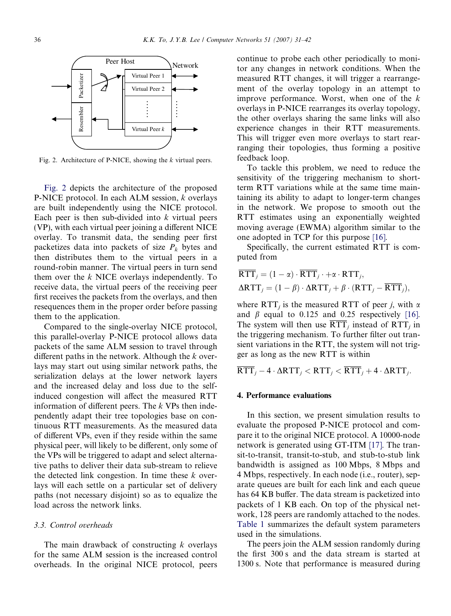<span id="page-5-0"></span>

Fig. 2. Architecture of P-NICE, showing the  $k$  virtual peers.

Fig. 2 depicts the architecture of the proposed P-NICE protocol. In each ALM session, k overlays are built independently using the NICE protocol. Each peer is then sub-divided into  $k$  virtual peers (VP), with each virtual peer joining a different NICE overlay. To transmit data, the sending peer first packetizes data into packets of size  $P_k$  bytes and then distributes them to the virtual peers in a round-robin manner. The virtual peers in turn send them over the  $k$  NICE overlays independently. To receive data, the virtual peers of the receiving peer first receives the packets from the overlays, and then resequences them in the proper order before passing them to the application.

Compared to the single-overlay NICE protocol, this parallel-overlay P-NICE protocol allows data packets of the same ALM session to travel through different paths in the network. Although the  $k$  overlays may start out using similar network paths, the serialization delays at the lower network layers and the increased delay and loss due to the selfinduced congestion will affect the measured RTT information of different peers. The  $k$  VPs then independently adapt their tree topologies base on continuous RTT measurements. As the measured data of different VPs, even if they reside within the same physical peer, will likely to be different, only some of the VPs will be triggered to adapt and select alternative paths to deliver their data sub-stream to relieve the detected link congestion. In time these  $k$  overlays will each settle on a particular set of delivery paths (not necessary disjoint) so as to equalize the load across the network links.

#### 3.3. Control overheads

The main drawback of constructing  $k$  overlays for the same ALM session is the increased control overheads. In the original NICE protocol, peers continue to probe each other periodically to monitor any changes in network conditions. When the measured RTT changes, it will trigger a rearrangement of the overlay topology in an attempt to improve performance. Worst, when one of the  $k$ overlays in P-NICE rearranges its overlay topology, the other overlays sharing the same links will also experience changes in their RTT measurements. This will trigger even more overlays to start rearranging their topologies, thus forming a positive feedback loop.

To tackle this problem, we need to reduce the sensitivity of the triggering mechanism to shortterm RTT variations while at the same time maintaining its ability to adapt to longer-term changes in the network. We propose to smooth out the RTT estimates using an exponentially weighted moving average (EWMA) algorithm similar to the one adopted in TCP for this purpose [\[16\]](#page-11-0).

Specifically, the current estimated RTT is computed from

$$
\overline{\text{RTT}}_j = (1 - \alpha) \cdot \overline{\text{RTT}}_j \cdot + \alpha \cdot \text{RTT}_j,
$$
  
 
$$
\Delta \text{RTT}_j = (1 - \beta) \cdot \Delta \text{RTT}_j + \beta \cdot (\text{RTT}_j - \overline{\text{RTT}}_j),
$$

where  $RTT_i$  is the measured RTT of peer j, with  $\alpha$ and  $\beta$  equal to 0.125 and 0.25 respectively [\[16\].](#page-11-0) The system will then use  $\overline{RTT}_i$  instead of RTT<sub>i</sub> in the triggering mechanism. To further filter out transient variations in the RTT, the system will not trigger as long as the new RTT is within

$$
RTT_j - 4 \cdot \Delta RTT_j < RTT_j < RTT_j + 4 \cdot \Delta RTT_j.
$$

#### 4. Performance evaluations

In this section, we present simulation results to evaluate the proposed P-NICE protocol and compare it to the original NICE protocol. A 10000-node network is generated using GT-ITM [\[17\]](#page-11-0). The transit-to-transit, transit-to-stub, and stub-to-stub link bandwidth is assigned as 100 Mbps, 8 Mbps and 4 Mbps, respectively. In each node (i.e., router), separate queues are built for each link and each queue has 64 KB buffer. The data stream is packetized into packets of 1 KB each. On top of the physical network, 128 peers are randomly attached to the nodes. [Table 1](#page-6-0) summarizes the default system parameters used in the simulations.

The peers join the ALM session randomly during the first 300 s and the data stream is started at 1300 s. Note that performance is measured during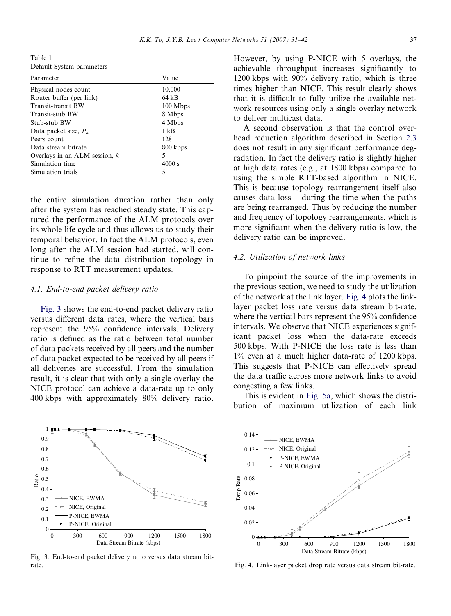<span id="page-6-0"></span>Table 1 Default System parameters

| Parameter                       | Value     |
|---------------------------------|-----------|
| Physical nodes count            | 10,000    |
| Router buffer (per link)        | $64$ kB   |
| <b>Transit-transit BW</b>       | 100 Mbps  |
| Transit-stub BW                 | 8 Mbps    |
| Stub-stub BW                    | 4 Mbps    |
| Data packet size, $P_k$         | $1 \; kR$ |
| Peers count                     | 128       |
| Data stream bitrate             | 800 kbps  |
| Overlays in an ALM session, $k$ | 5         |
| Simulation time                 | 4000 s    |
| Simulation trials               | 5         |

the entire simulation duration rather than only after the system has reached steady state. This captured the performance of the ALM protocols over its whole life cycle and thus allows us to study their temporal behavior. In fact the ALM protocols, even long after the ALM session had started, will continue to refine the data distribution topology in response to RTT measurement updates.

#### 4.1. End-to-end packet delivery ratio

Fig. 3 shows the end-to-end packet delivery ratio versus different data rates, where the vertical bars represent the 95% confidence intervals. Delivery ratio is defined as the ratio between total number of data packets received by all peers and the number of data packet expected to be received by all peers if all deliveries are successful. From the simulation result, it is clear that with only a single overlay the NICE protocol can achieve a data-rate up to only 400 kbps with approximately 80% delivery ratio.

However, by using P-NICE with 5 overlays, the achievable throughput increases significantly to 1200 kbps with 90% delivery ratio, which is three times higher than NICE. This result clearly shows that it is difficult to fully utilize the available network resources using only a single overlay network to deliver multicast data.

A second observation is that the control overhead reduction algorithm described in Section [2.3](#page-3-0) does not result in any significant performance degradation. In fact the delivery ratio is slightly higher at high data rates (e.g., at 1800 kbps) compared to using the simple RTT-based algorithm in NICE. This is because topology rearrangement itself also causes data loss – during the time when the paths are being rearranged. Thus by reducing the number and frequency of topology rearrangements, which is more significant when the delivery ratio is low, the delivery ratio can be improved.

#### 4.2. Utilization of network links

To pinpoint the source of the improvements in the previous section, we need to study the utilization of the network at the link layer. Fig. 4 plots the linklayer packet loss rate versus data stream bit-rate, where the vertical bars represent the 95% confidence intervals. We observe that NICE experiences significant packet loss when the data-rate exceeds 500 kbps. With P-NICE the loss rate is less than 1% even at a much higher data-rate of 1200 kbps. This suggests that P-NICE can effectively spread the data traffic across more network links to avoid congesting a few links.

This is evident in [Fig. 5a](#page-7-0), which shows the distribution of maximum utilization of each link



Fig. 3. End-to-end packet delivery ratio versus data stream bitrate.



Fig. 4. Link-layer packet drop rate versus data stream bit-rate.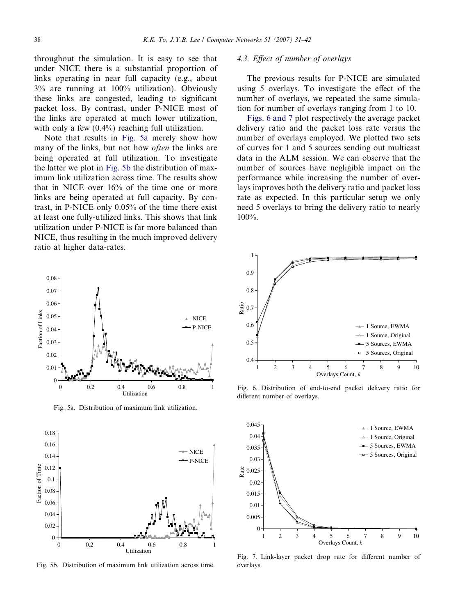<span id="page-7-0"></span>throughout the simulation. It is easy to see that under NICE there is a substantial proportion of links operating in near full capacity (e.g., about 3% are running at 100% utilization). Obviously these links are congested, leading to significant packet loss. By contrast, under P-NICE most of the links are operated at much lower utilization, with only a few  $(0.4\%)$  reaching full utilization.

Note that results in Fig. 5a merely show how many of the links, but not how *often* the links are being operated at full utilization. To investigate the latter we plot in Fig. 5b the distribution of maximum link utilization across time. The results show that in NICE over 16% of the time one or more links are being operated at full capacity. By contrast, in P-NICE only 0.05% of the time there exist at least one fully-utilized links. This shows that link utilization under P-NICE is far more balanced than NICE, thus resulting in the much improved delivery ratio at higher data-rates.



Fig. 5a. Distribution of maximum link utilization.



Fig. 5b. Distribution of maximum link utilization across time.

#### 4.3. Effect of number of overlays

The previous results for P-NICE are simulated using 5 overlays. To investigate the effect of the number of overlays, we repeated the same simulation for number of overlays ranging from 1 to 10.

Figs. 6 and 7 plot respectively the average packet delivery ratio and the packet loss rate versus the number of overlays employed. We plotted two sets of curves for 1 and 5 sources sending out multicast data in the ALM session. We can observe that the number of sources have negligible impact on the performance while increasing the number of overlays improves both the delivery ratio and packet loss rate as expected. In this particular setup we only need 5 overlays to bring the delivery ratio to nearly 100%.



Fig. 6. Distribution of end-to-end packet delivery ratio for different number of overlays.



Fig. 7. Link-layer packet drop rate for different number of overlays.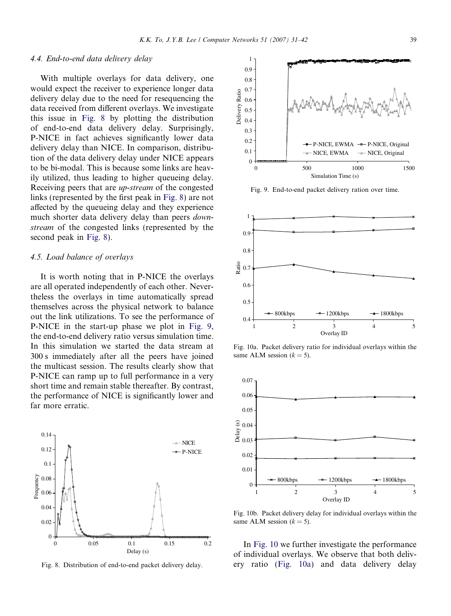#### <span id="page-8-0"></span>4.4. End-to-end data delivery delay

With multiple overlays for data delivery, one would expect the receiver to experience longer data delivery delay due to the need for resequencing the data received from different overlays. We investigate this issue in Fig. 8 by plotting the distribution of end-to-end data delivery delay. Surprisingly, P-NICE in fact achieves significantly lower data delivery delay than NICE. In comparison, distribution of the data delivery delay under NICE appears to be bi-modal. This is because some links are heavily utilized, thus leading to higher queueing delay. Receiving peers that are up-stream of the congested links (represented by the first peak in Fig. 8) are not affected by the queueing delay and they experience much shorter data delivery delay than peers *down*stream of the congested links (represented by the second peak in Fig. 8).

#### 4.5. Load balance of overlays

It is worth noting that in P-NICE the overlays are all operated independently of each other. Nevertheless the overlays in time automatically spread themselves across the physical network to balance out the link utilizations. To see the performance of P-NICE in the start-up phase we plot in Fig. 9, the end-to-end delivery ratio versus simulation time. In this simulation we started the data stream at 300 s immediately after all the peers have joined the multicast session. The results clearly show that P-NICE can ramp up to full performance in a very short time and remain stable thereafter. By contrast, the performance of NICE is significantly lower and far more erratic.



Fig. 8. Distribution of end-to-end packet delivery delay.



Fig. 9. End-to-end packet delivery ration over time.



Fig. 10a. Packet delivery ratio for individual overlays within the same ALM session  $(k = 5)$ .



Fig. 10b. Packet delivery delay for individual overlays within the same ALM session  $(k = 5)$ .

In Fig. 10 we further investigate the performance of individual overlays. We observe that both delivery ratio (Fig. 10a) and data delivery delay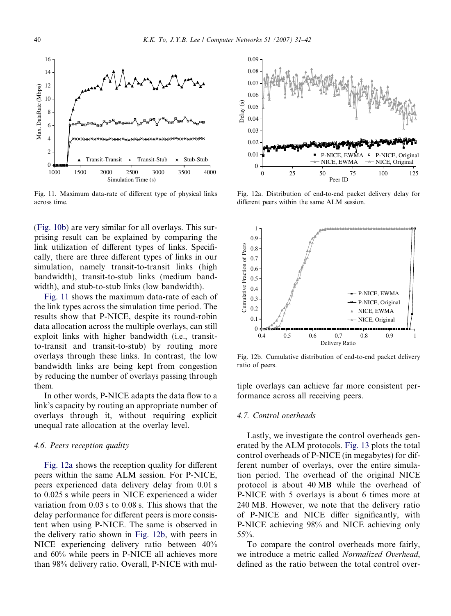

Fig. 11. Maximum data-rate of different type of physical links across time.

([Fig. 10b\)](#page-8-0) are very similar for all overlays. This surprising result can be explained by comparing the link utilization of different types of links. Specifically, there are three different types of links in our simulation, namely transit-to-transit links (high bandwidth), transit-to-stub links (medium bandwidth), and stub-to-stub links (low bandwidth).

Fig. 11 shows the maximum data-rate of each of the link types across the simulation time period. The results show that P-NICE, despite its round-robin data allocation across the multiple overlays, can still exploit links with higher bandwidth (i.e., transitto-transit and transit-to-stub) by routing more overlays through these links. In contrast, the low bandwidth links are being kept from congestion by reducing the number of overlays passing through them.

In other words, P-NICE adapts the data flow to a link's capacity by routing an appropriate number of overlays through it, without requiring explicit unequal rate allocation at the overlay level.

### 4.6. Peers reception quality

Fig. 12a shows the reception quality for different peers within the same ALM session. For P-NICE, peers experienced data delivery delay from 0.01 s to 0.025 s while peers in NICE experienced a wider variation from 0.03 s to 0.08 s. This shows that the delay performance for different peers is more consistent when using P-NICE. The same is observed in the delivery ratio shown in Fig. 12b, with peers in NICE experiencing delivery ratio between 40% and 60% while peers in P-NICE all achieves more than 98% delivery ratio. Overall, P-NICE with mul-



Fig. 12a. Distribution of end-to-end packet delivery delay for different peers within the same ALM session.



Fig. 12b. Cumulative distribution of end-to-end packet delivery ratio of peers.

tiple overlays can achieve far more consistent performance across all receiving peers.

### 4.7. Control overheads

Lastly, we investigate the control overheads generated by the ALM protocols. [Fig. 13](#page-10-0) plots the total control overheads of P-NICE (in megabytes) for different number of overlays, over the entire simulation period. The overhead of the original NICE protocol is about 40 MB while the overhead of P-NICE with 5 overlays is about 6 times more at 240 MB. However, we note that the delivery ratio of P-NICE and NICE differ significantly, with P-NICE achieving 98% and NICE achieving only 55%.

To compare the control overheads more fairly, we introduce a metric called *Normalized Overhead*, defined as the ratio between the total control over-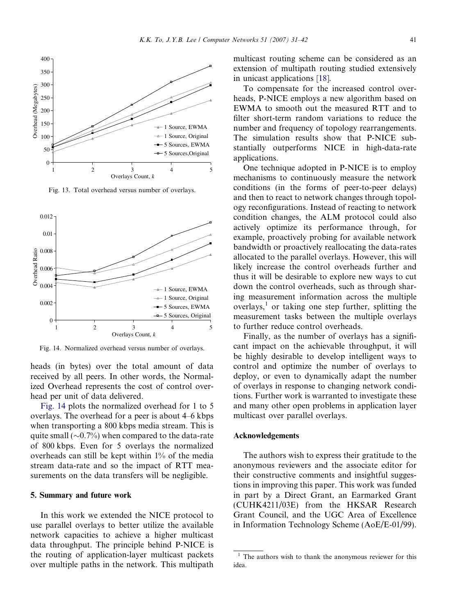<span id="page-10-0"></span>

Fig. 13. Total overhead versus number of overlays.



Fig. 14. Normalized overhead versus number of overlays.

heads (in bytes) over the total amount of data received by all peers. In other words, the Normalized Overhead represents the cost of control overhead per unit of data delivered.

Fig. 14 plots the normalized overhead for 1 to 5 overlays. The overhead for a peer is about 4–6 kbps when transporting a 800 kbps media stream. This is quite small ( $\sim$ 0.7%) when compared to the data-rate of 800 kbps. Even for 5 overlays the normalized overheads can still be kept within 1% of the media stream data-rate and so the impact of RTT measurements on the data transfers will be negligible.

#### 5. Summary and future work

In this work we extended the NICE protocol to use parallel overlays to better utilize the available network capacities to achieve a higher multicast data throughput. The principle behind P-NICE is the routing of application-layer multicast packets over multiple paths in the network. This multipath multicast routing scheme can be considered as an extension of multipath routing studied extensively in unicast applications [\[18\]](#page-11-0).

To compensate for the increased control overheads, P-NICE employs a new algorithm based on EWMA to smooth out the measured RTT and to filter short-term random variations to reduce the number and frequency of topology rearrangements. The simulation results show that P-NICE substantially outperforms NICE in high-data-rate applications.

One technique adopted in P-NICE is to employ mechanisms to continuously measure the network conditions (in the forms of peer-to-peer delays) and then to react to network changes through topology reconfigurations. Instead of reacting to network condition changes, the ALM protocol could also actively optimize its performance through, for example, proactively probing for available network bandwidth or proactively reallocating the data-rates allocated to the parallel overlays. However, this will likely increase the control overheads further and thus it will be desirable to explore new ways to cut down the control overheads, such as through sharing measurement information across the multiple overlays, $\frac{1}{x}$  or taking one step further, splitting the measurement tasks between the multiple overlays to further reduce control overheads.

Finally, as the number of overlays has a significant impact on the achievable throughput, it will be highly desirable to develop intelligent ways to control and optimize the number of overlays to deploy, or even to dynamically adapt the number of overlays in response to changing network conditions. Further work is warranted to investigate these and many other open problems in application layer multicast over parallel overlays.

### Acknowledgements

The authors wish to express their gratitude to the anonymous reviewers and the associate editor for their constructive comments and insightful suggestions in improving this paper. This work was funded in part by a Direct Grant, an Earmarked Grant (CUHK4211/03E) from the HKSAR Research Grant Council, and the UGC Area of Excellence in Information Technology Scheme (AoE/E-01/99).

<sup>&</sup>lt;sup>1</sup> The authors wish to thank the anonymous reviewer for this idea.